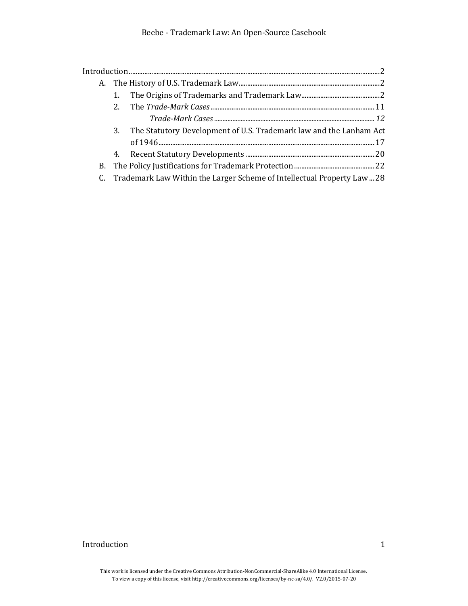# Beebe - Trademark Law: An Open-Source Casebook

| 1. |                                                                            |  |  |  |  |  |  |
|----|----------------------------------------------------------------------------|--|--|--|--|--|--|
|    |                                                                            |  |  |  |  |  |  |
|    |                                                                            |  |  |  |  |  |  |
| 3. | The Statutory Development of U.S. Trademark law and the Lanham Act         |  |  |  |  |  |  |
|    |                                                                            |  |  |  |  |  |  |
|    |                                                                            |  |  |  |  |  |  |
|    |                                                                            |  |  |  |  |  |  |
|    | C. Trademark Law Within the Larger Scheme of Intellectual Property Law  28 |  |  |  |  |  |  |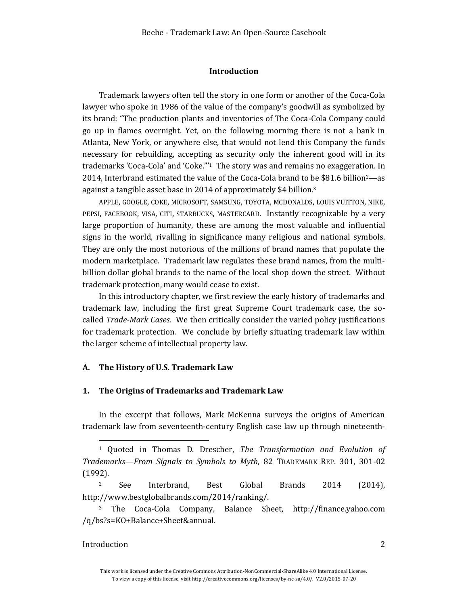# **Introduction**

<span id="page-1-0"></span>Trademark lawyers often tell the story in one form or another of the Coca-Cola lawyer who spoke in 1986 of the value of the company's goodwill as symbolized by its brand: "The production plants and inventories of The Coca-Cola Company could go up in flames overnight. Yet, on the following morning there is not a bank in Atlanta, New York, or anywhere else, that would not lend this Company the funds necessary for rebuilding, accepting as security only the inherent good will in its trademarks 'Coca-Cola' and 'Coke."'<sup>1</sup> The story was and remains no exaggeration. In 2014, Interbrand estimated the value of the Coca-Cola brand to be \$81.6 billion2—as against a tangible asset base in 2014 of approximately \$4 billion.<sup>3</sup>

APPLE, GOOGLE, COKE, MICROSOFT, SAMSUNG, TOYOTA, MCDONALDS, LOUIS VUITTON, NIKE, PEPSI, FACEBOOK, VISA, CITI, STARBUCKS, MASTERCARD. Instantly recognizable by a very large proportion of humanity, these are among the most valuable and influential signs in the world, rivalling in significance many religious and national symbols. They are only the most notorious of the millions of brand names that populate the modern marketplace. Trademark law regulates these brand names, from the multibillion dollar global brands to the name of the local shop down the street. Without trademark protection, many would cease to exist.

In this introductory chapter, we first review the early history of trademarks and trademark law, including the first great Supreme Court trademark case, the socalled *Trade-Mark Cases*. We then critically consider the varied policy justifications for trademark protection. We conclude by briefly situating trademark law within the larger scheme of intellectual property law.

#### <span id="page-1-1"></span>**A. The History of U.S. Trademark Law**

# <span id="page-1-2"></span>**1. The Origins of Trademarks and Trademark Law**

In the excerpt that follows, Mark McKenna surveys the origins of American trademark law from seventeenth-century English case law up through nineteenth-

# Introduction 2

l

<sup>1</sup> Quoted in Thomas D. Drescher, *The Transformation and Evolution of Trademarks—From Signals to Symbols to Myth*, 82 TRADEMARK REP. 301, 301-02 (1992).

<sup>2</sup> See Interbrand, Best Global Brands 2014 (2014), http://www.bestglobalbrands.com/2014/ranking/.

<sup>3</sup> The Coca-Cola Company, Balance Sheet, http://finance.yahoo.com /q/bs?s=KO+Balance+Sheet&annual.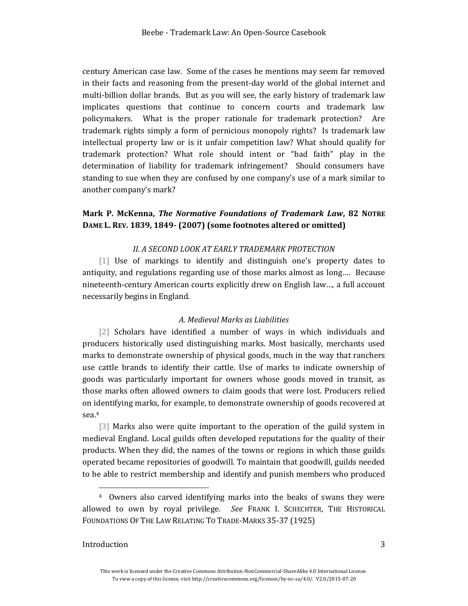century American case law. Some of the cases he mentions may seem far removed in their facts and reasoning from the present-day world of the global internet and multi-billion dollar brands. But as you will see, the early history of trademark law implicates questions that continue to concern courts and trademark law policymakers. What is the proper rationale for trademark protection? Are trademark rights simply a form of pernicious monopoly rights? Is trademark law intellectual property law or is it unfair competition law? What should qualify for trademark protection? What role should intent or "bad faith" play in the determination of liability for trademark infringement? Should consumers have standing to sue when they are confused by one company's use of a mark similar to another company's mark?

# **Mark P. McKenna,** *The Normative Foundations of Trademark Law***, 82 NOTRE DAME L. REV. 1839, 1849- (2007) (some footnotes altered or omitted)**

#### *II. A SECOND LOOK AT EARLY TRADEMARK PROTECTION*

[1] Use of markings to identify and distinguish one's property dates to antiquity, and regulations regarding use of those marks almost as long…. Because nineteenth-century American courts explicitly drew on English law…, a full account necessarily begins in England.

# *A. Medieval Marks as Liabilities*

[2] Scholars have identified a number of ways in which individuals and producers historically used distinguishing marks. Most basically, merchants used marks to demonstrate ownership of physical goods, much in the way that ranchers use cattle brands to identify their cattle. Use of marks to indicate ownership of goods was particularly important for owners whose goods moved in transit, as those marks often allowed owners to claim goods that were lost. Producers relied on identifying marks, for example, to demonstrate ownership of goods recovered at sea.<sup>4</sup>

[3] Marks also were quite important to the operation of the guild system in medieval England. Local guilds often developed reputations for the quality of their products. When they did, the names of the towns or regions in which those guilds operated became repositories of goodwill. To maintain that goodwill, guilds needed to be able to restrict membership and identify and punish members who produced

# Introduction 3

<sup>4</sup> Owners also carved identifying marks into the beaks of swans they were allowed to own by royal privilege. *See* FRANK I. SCHECHTER, THE HISTORICAL FOUNDATIONS OF THE LAW RELATING TO TRADE-MARKS 35-37 (1925)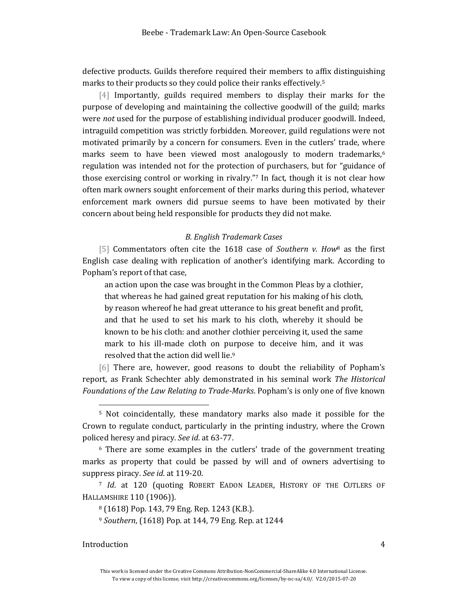defective products. Guilds therefore required their members to affix distinguishing marks to their products so they could police their ranks effectively.<sup>5</sup>

[4] Importantly, guilds required members to display their marks for the purpose of developing and maintaining the collective goodwill of the guild; marks were *not* used for the purpose of establishing individual producer goodwill. Indeed, intraguild competition was strictly forbidden. Moreover, guild regulations were not motivated primarily by a concern for consumers. Even in the cutlers' trade, where marks seem to have been viewed most analogously to modern trademarks,<sup>6</sup> regulation was intended not for the protection of purchasers, but for "guidance of those exercising control or working in rivalry."<sup>7</sup> In fact, though it is not clear how often mark owners sought enforcement of their marks during this period, whatever enforcement mark owners did pursue seems to have been motivated by their concern about being held responsible for products they did not make.

# *B. English Trademark Cases*

[5] Commentators often cite the 1618 case of *Southern v. How*<sup>8</sup> as the first English case dealing with replication of another's identifying mark. According to Popham's report of that case,

an action upon the case was brought in the Common Pleas by a clothier, that whereas he had gained great reputation for his making of his cloth, by reason whereof he had great utterance to his great benefit and profit, and that he used to set his mark to his cloth, whereby it should be known to be his cloth: and another clothier perceiving it, used the same mark to his ill-made cloth on purpose to deceive him, and it was resolved that the action did well lie.<sup>9</sup>

[6] There are, however, good reasons to doubt the reliability of Popham's report, as Frank Schechter ably demonstrated in his seminal work *The Historical Foundations of the Law Relating to Trade-Marks*. Popham's is only one of five known

# Introduction 4

<sup>5</sup> Not coincidentally, these mandatory marks also made it possible for the Crown to regulate conduct, particularly in the printing industry, where the Crown policed heresy and piracy. *See id*. at 63-77.

<sup>6</sup> There are some examples in the cutlers' trade of the government treating marks as property that could be passed by will and of owners advertising to suppress piracy. *See id*. at 119-20.

<sup>7</sup> *Id*. at 120 (quoting ROBERT EADON LEADER, HISTORY OF THE CUTLERS OF HALLAMSHIRE 110 (1906)).

<sup>8</sup> (1618) Pop. 143, 79 Eng. Rep. 1243 (K.B.).

<sup>9</sup> *Southern*, (1618) Pop. at 144, 79 Eng. Rep. at 1244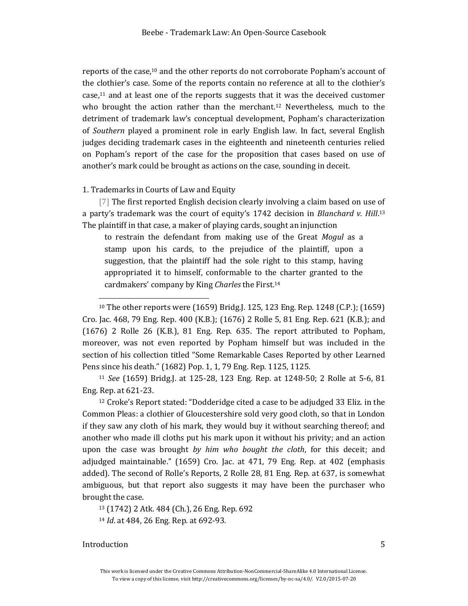reports of the case,<sup>10</sup> and the other reports do not corroborate Popham's account of the clothier's case. Some of the reports contain no reference at all to the clothier's case, $11$  and at least one of the reports suggests that it was the deceived customer who brought the action rather than the merchant.<sup>12</sup> Nevertheless, much to the detriment of trademark law's conceptual development, Popham's characterization of *Southern* played a prominent role in early English law. In fact, several English judges deciding trademark cases in the eighteenth and nineteenth centuries relied on Popham's report of the case for the proposition that cases based on use of another's mark could be brought as actions on the case, sounding in deceit.

#### 1. Trademarks in Courts of Law and Equity

[7] The first reported English decision clearly involving a claim based on use of a party's trademark was the court of equity's 1742 decision in *Blanchard v. Hill*. 13 The plaintiff in that case, a maker of playing cards, sought an injunction

to restrain the defendant from making use of the Great *Mogul* as a stamp upon his cards, to the prejudice of the plaintiff, upon a suggestion, that the plaintiff had the sole right to this stamp, having appropriated it to himself, conformable to the charter granted to the cardmakers' company by King *Charles* the First.<sup>14</sup>

<sup>10</sup> The other reports were (1659) Bridg.J. 125, 123 Eng. Rep. 1248 (C.P.); (1659) Cro. Jac. 468, 79 Eng. Rep. 400 (K.B.); (1676) 2 Rolle 5, 81 Eng. Rep. 621 (K.B.); and (1676) 2 Rolle 26 (K.B.), 81 Eng. Rep. 635. The report attributed to Popham, moreover, was not even reported by Popham himself but was included in the section of his collection titled "Some Remarkable Cases Reported by other Learned Pens since his death." (1682) Pop. 1, 1, 79 Eng. Rep. 1125, 1125.

<sup>11</sup> *See* (1659) Bridg.J. at 125-28, 123 Eng. Rep. at 1248-50; 2 Rolle at 5-6, 81 Eng. Rep. at 621-23.

<sup>12</sup> Croke's Report stated: "Dodderidge cited a case to be adjudged 33 Eliz. in the Common Pleas: a clothier of Gloucestershire sold very good cloth, so that in London if they saw any cloth of his mark, they would buy it without searching thereof; and another who made ill cloths put his mark upon it without his privity; and an action upon the case was brought *by him who bought the cloth*, for this deceit; and adjudged maintainable." (1659) Cro. Jac. at 471, 79 Eng. Rep. at 402 (emphasis added). The second of Rolle's Reports, 2 Rolle 28, 81 Eng. Rep. at 637, is somewhat ambiguous, but that report also suggests it may have been the purchaser who brought the case.

<sup>13</sup> (1742) 2 Atk. 484 (Ch.), 26 Eng. Rep. 692

<sup>14</sup> *Id*. at 484, 26 Eng. Rep. at 692-93.

Introduction 5

 $\overline{a}$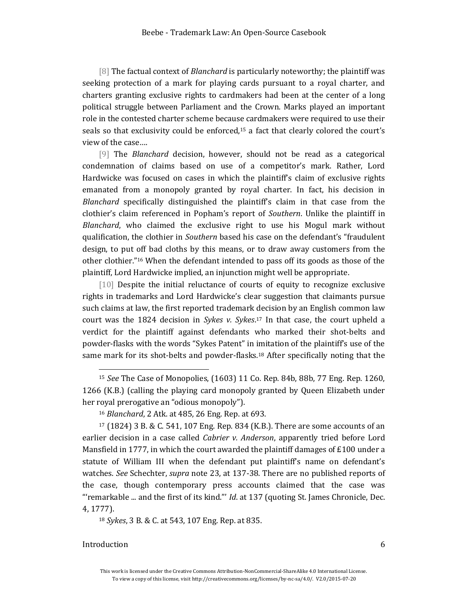[8] The factual context of *Blanchard* is particularly noteworthy; the plaintiff was seeking protection of a mark for playing cards pursuant to a royal charter, and charters granting exclusive rights to cardmakers had been at the center of a long political struggle between Parliament and the Crown. Marks played an important role in the contested charter scheme because cardmakers were required to use their seals so that exclusivity could be enforced,<sup>15</sup> a fact that clearly colored the court's view of the case….

[9] The *Blanchard* decision, however, should not be read as a categorical condemnation of claims based on use of a competitor's mark. Rather, Lord Hardwicke was focused on cases in which the plaintiff's claim of exclusive rights emanated from a monopoly granted by royal charter. In fact, his decision in *Blanchard* specifically distinguished the plaintiff's claim in that case from the clothier's claim referenced in Popham's report of *Southern*. Unlike the plaintiff in *Blanchard*, who claimed the exclusive right to use his Mogul mark without qualification, the clothier in *Southern* based his case on the defendant's "fraudulent design, to put off bad cloths by this means, or to draw away customers from the other clothier."<sup>16</sup> When the defendant intended to pass off its goods as those of the plaintiff, Lord Hardwicke implied, an injunction might well be appropriate.

[10] Despite the initial reluctance of courts of equity to recognize exclusive rights in trademarks and Lord Hardwicke's clear suggestion that claimants pursue such claims at law, the first reported trademark decision by an English common law court was the 1824 decision in *Sykes v. Sykes*. <sup>17</sup> In that case, the court upheld a verdict for the plaintiff against defendants who marked their shot-belts and powder-flasks with the words "Sykes Patent" in imitation of the plaintiff's use of the same mark for its shot-belts and powder-flasks.<sup>18</sup> After specifically noting that the

<sup>17</sup> (1824) 3 B. & C. 541, 107 Eng. Rep. 834 (K.B.). There are some accounts of an earlier decision in a case called *Cabrier v. Anderson*, apparently tried before Lord Mansfield in 1777, in which the court awarded the plaintiff damages of £100 under a statute of William III when the defendant put plaintiff's name on defendant's watches. *See* Schechter, *supra* note 23, at 137-38. There are no published reports of the case, though contemporary press accounts claimed that the case was "'remarkable ... and the first of its kind."' *Id*. at 137 (quoting St. James Chronicle, Dec. 4, 1777).

<sup>18</sup> *Sykes*, 3 B. & C. at 543, 107 Eng. Rep. at 835.

Introduction 6

<sup>15</sup> *See* The Case of Monopolies, (1603) 11 Co. Rep. 84b, 88b, 77 Eng. Rep. 1260, 1266 (K.B.) (calling the playing card monopoly granted by Queen Elizabeth under her royal prerogative an "odious monopoly").

<sup>16</sup> *Blanchard*, 2 Atk. at 485, 26 Eng. Rep. at 693.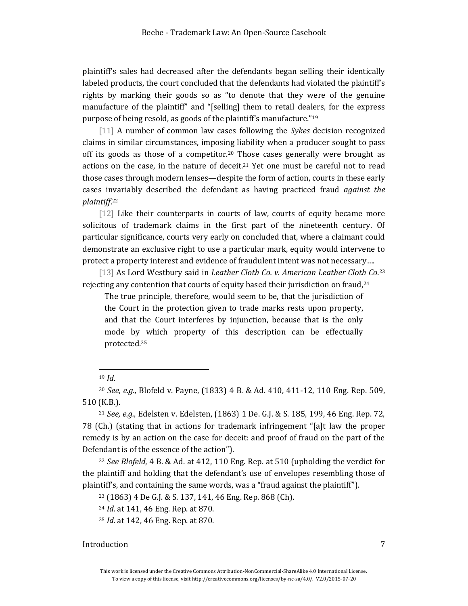plaintiff's sales had decreased after the defendants began selling their identically labeled products, the court concluded that the defendants had violated the plaintiff's rights by marking their goods so as "to denote that they were of the genuine manufacture of the plaintiff" and "[selling] them to retail dealers, for the express purpose of being resold, as goods of the plaintiff's manufacture."<sup>19</sup>

[11] A number of common law cases following the *Sykes* decision recognized claims in similar circumstances, imposing liability when a producer sought to pass off its goods as those of a competitor.<sup>20</sup> Those cases generally were brought as actions on the case, in the nature of deceit.<sup>21</sup> Yet one must be careful not to read those cases through modern lenses—despite the form of action, courts in these early cases invariably described the defendant as having practiced fraud *against the plaintiff*. 22

[12] Like their counterparts in courts of law, courts of equity became more solicitous of trademark claims in the first part of the nineteenth century. Of particular significance, courts very early on concluded that, where a claimant could demonstrate an exclusive right to use a particular mark, equity would intervene to protect a property interest and evidence of fraudulent intent was not necessary….

[13] As Lord Westbury said in *Leather Cloth Co. v. American Leather Cloth Co.*<sup>23</sup> rejecting any contention that courts of equity based their jurisdiction on fraud, $24$ 

The true principle, therefore, would seem to be, that the jurisdiction of the Court in the protection given to trade marks rests upon property, and that the Court interferes by injunction, because that is the only mode by which property of this description can be effectually protected.<sup>25</sup>

<sup>22</sup> *See Blofeld*, 4 B. & Ad. at 412, 110 Eng. Rep. at 510 (upholding the verdict for the plaintiff and holding that the defendant's use of envelopes resembling those of plaintiff's, and containing the same words, was a "fraud against the plaintiff").

<sup>23</sup> (1863) 4 De G.J. & S. 137, 141, 46 Eng. Rep. 868 (Ch).

<sup>24</sup> *Id*. at 141, 46 Eng. Rep. at 870.

<sup>25</sup> *Id*. at 142, 46 Eng. Rep. at 870.

<sup>19</sup> *Id*.

<sup>20</sup> *See, e.g.,* Blofeld v. Payne, (1833) 4 B. & Ad. 410, 411-12, 110 Eng. Rep. 509, 510 (K.B.).

<sup>21</sup> *See, e.g.*, Edelsten v. Edelsten, (1863) 1 De. G.J. & S. 185, 199, 46 Eng. Rep. 72, 78 (Ch.) (stating that in actions for trademark infringement "[a]t law the proper remedy is by an action on the case for deceit: and proof of fraud on the part of the Defendant is of the essence of the action").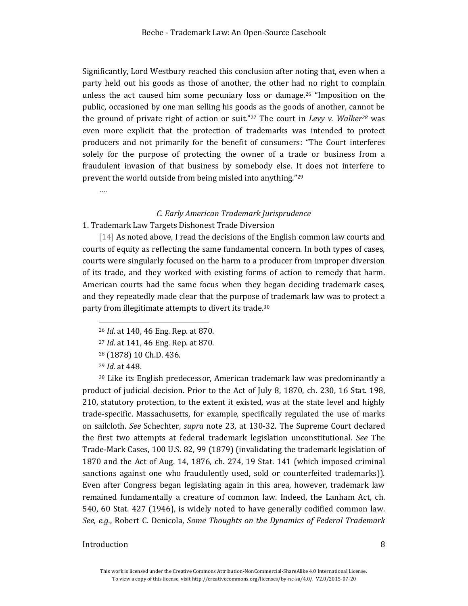Significantly, Lord Westbury reached this conclusion after noting that, even when a party held out his goods as those of another, the other had no right to complain unless the act caused him some pecuniary loss or damage.<sup>26</sup> "Imposition on the public, occasioned by one man selling his goods as the goods of another, cannot be the ground of private right of action or suit."<sup>27</sup> The court in *Levy v. Walker<sup>28</sup>* was even more explicit that the protection of trademarks was intended to protect producers and not primarily for the benefit of consumers: "The Court interferes solely for the purpose of protecting the owner of a trade or business from a fraudulent invasion of that business by somebody else. It does not interfere to prevent the world outside from being misled into anything."<sup>29</sup>

….

# *C. Early American Trademark Jurisprudence*

# 1. Trademark Law Targets Dishonest Trade Diversion

[14] As noted above, I read the decisions of the English common law courts and courts of equity as reflecting the same fundamental concern. In both types of cases, courts were singularly focused on the harm to a producer from improper diversion of its trade, and they worked with existing forms of action to remedy that harm. American courts had the same focus when they began deciding trademark cases, and they repeatedly made clear that the purpose of trademark law was to protect a party from illegitimate attempts to divert its trade.<sup>30</sup>

<sup>30</sup> Like its English predecessor, American trademark law was predominantly a product of judicial decision. Prior to the Act of July 8, 1870, ch. 230, 16 Stat. 198, 210, statutory protection, to the extent it existed, was at the state level and highly trade-specific. Massachusetts, for example, specifically regulated the use of marks on sailcloth. *See* Schechter, *supra* note 23, at 130-32. The Supreme Court declared the first two attempts at federal trademark legislation unconstitutional. *See* The Trade-Mark Cases, 100 U.S. 82, 99 (1879) (invalidating the trademark legislation of 1870 and the Act of Aug. 14, 1876, ch. 274, 19 Stat. 141 (which imposed criminal sanctions against one who fraudulently used, sold or counterfeited trademarks)). Even after Congress began legislating again in this area, however, trademark law remained fundamentally a creature of common law. Indeed, the Lanham Act, ch. 540, 60 Stat. 427 (1946), is widely noted to have generally codified common law. *See, e.g.*, Robert C. Denicola, *Some Thoughts on the Dynamics of Federal Trademark* 

<sup>26</sup> *Id*. at 140, 46 Eng. Rep. at 870.

<sup>27</sup> *Id*. at 141, 46 Eng. Rep. at 870.

<sup>28</sup> (1878) 10 Ch.D. 436.

<sup>29</sup> *Id*. at 448.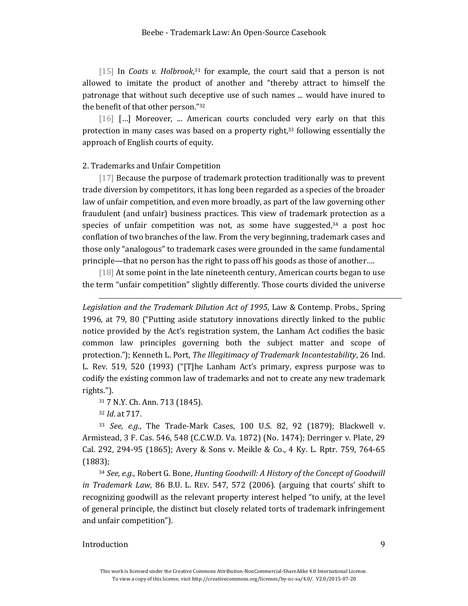[15] In *Coats v. Holbrook*,<sup>31</sup> for example, the court said that a person is not allowed to imitate the product of another and "thereby attract to himself the patronage that without such deceptive use of such names ... would have inured to the benefit of that other person."<sup>32</sup>

[16] [...] Moreover, ... American courts concluded very early on that this protection in many cases was based on a property right,<sup>33</sup> following essentially the approach of English courts of equity.

#### 2. Trademarks and Unfair Competition

[17] Because the purpose of trademark protection traditionally was to prevent trade diversion by competitors, it has long been regarded as a species of the broader law of unfair competition, and even more broadly, as part of the law governing other fraudulent (and unfair) business practices. This view of trademark protection as a species of unfair competition was not, as some have suggested, $34$  a post hoc conflation of two branches of the law. From the very beginning, trademark cases and those only "analogous" to trademark cases were grounded in the same fundamental principle—that no person has the right to pass off his goods as those of another….

[18] At some point in the late nineteenth century, American courts began to use the term "unfair competition" slightly differently. Those courts divided the universe

*Legislation and the Trademark Dilution Act of 1995*, Law & Contemp. Probs., Spring 1996, at 79, 80 ("Putting aside statutory innovations directly linked to the public notice provided by the Act's registration system, the Lanham Act codifies the basic common law principles governing both the subject matter and scope of protection."); Kenneth L. Port, *The Illegitimacy of Trademark Incontestability*, 26 Ind. L. Rev. 519, 520 (1993) ("[T]he Lanham Act's primary, express purpose was to codify the existing common law of trademarks and not to create any new trademark rights.").

<sup>31</sup> 7 N.Y. Ch. Ann. 713 (1845).

<sup>32</sup> *Id*. at 717.

 $\overline{a}$ 

<sup>33</sup> *See, e.g.*, The Trade-Mark Cases, 100 U.S. 82, 92 (1879); Blackwell v. Armistead, 3 F. Cas. 546, 548 (C.C.W.D. Va. 1872) (No. 1474); Derringer v. Plate, 29 Cal. 292, 294-95 (1865); Avery & Sons v. Meikle & Co., 4 Ky. L. Rptr. 759, 764-65 (1883);

<sup>34</sup> *See, e.g.*, Robert G. Bone, *Hunting Goodwill: A History of the Concept of Goodwill in Trademark Law*, 86 B.U. L. REV. 547, 572 (2006). (arguing that courts' shift to recognizing goodwill as the relevant property interest helped "to unify, at the level of general principle, the distinct but closely related torts of trademark infringement and unfair competition").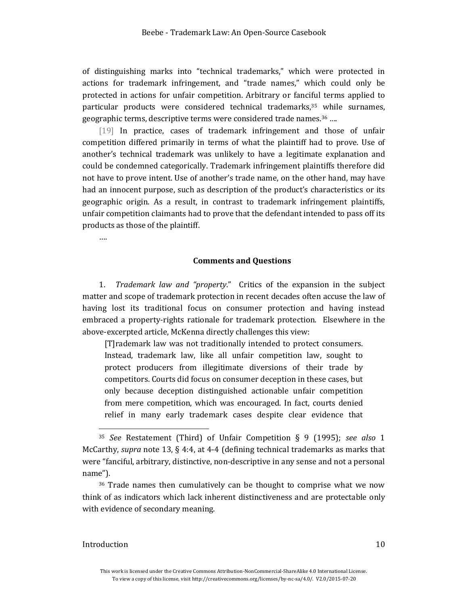of distinguishing marks into "technical trademarks," which were protected in actions for trademark infringement, and "trade names," which could only be protected in actions for unfair competition. Arbitrary or fanciful terms applied to particular products were considered technical trademarks,<sup>35</sup> while surnames, geographic terms, descriptive terms were considered trade names.<sup>36</sup> ….

[19] In practice, cases of trademark infringement and those of unfair competition differed primarily in terms of what the plaintiff had to prove. Use of another's technical trademark was unlikely to have a legitimate explanation and could be condemned categorically. Trademark infringement plaintiffs therefore did not have to prove intent. Use of another's trade name, on the other hand, may have had an innocent purpose, such as description of the product's characteristics or its geographic origin. As a result, in contrast to trademark infringement plaintiffs, unfair competition claimants had to prove that the defendant intended to pass off its products as those of the plaintiff.

**Comments and Questions**

1. *Trademark law and "property*." Critics of the expansion in the subject matter and scope of trademark protection in recent decades often accuse the law of having lost its traditional focus on consumer protection and having instead embraced a property-rights rationale for trademark protection. Elsewhere in the above-excerpted article, McKenna directly challenges this view:

[T]rademark law was not traditionally intended to protect consumers. Instead, trademark law, like all unfair competition law, sought to protect producers from illegitimate diversions of their trade by competitors. Courts did focus on consumer deception in these cases, but only because deception distinguished actionable unfair competition from mere competition, which was encouraged. In fact, courts denied relief in many early trademark cases despite clear evidence that

#### Introduction 10

 $\overline{a}$ 

….

<sup>35</sup> *See* Restatement (Third) of Unfair Competition § 9 (1995); *see also* 1 McCarthy, *supra* note 13, § 4:4, at 4-4 (defining technical trademarks as marks that were "fanciful, arbitrary, distinctive, non-descriptive in any sense and not a personal name").

<sup>36</sup> Trade names then cumulatively can be thought to comprise what we now think of as indicators which lack inherent distinctiveness and are protectable only with evidence of secondary meaning.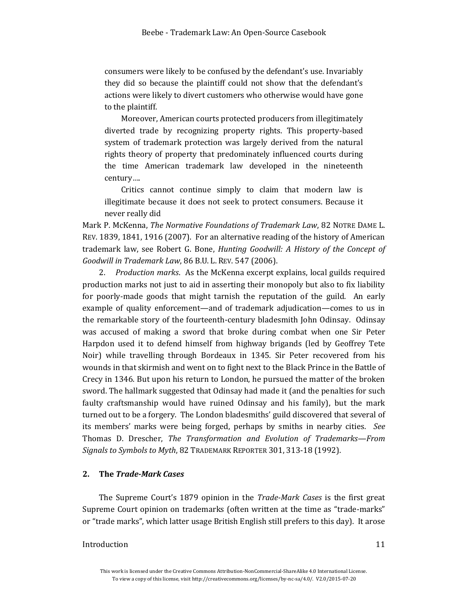consumers were likely to be confused by the defendant's use. Invariably they did so because the plaintiff could not show that the defendant's actions were likely to divert customers who otherwise would have gone to the plaintiff.

Moreover, American courts protected producers from illegitimately diverted trade by recognizing property rights. This property-based system of trademark protection was largely derived from the natural rights theory of property that predominately influenced courts during the time American trademark law developed in the nineteenth century….

Critics cannot continue simply to claim that modern law is illegitimate because it does not seek to protect consumers. Because it never really did

Mark P. McKenna, *The Normative Foundations of Trademark Law*, 82 NOTRE DAME L. REV. 1839, 1841, 1916 (2007). For an alternative reading of the history of American trademark law, see Robert G. Bone, *Hunting Goodwill: A History of the Concept of Goodwill in Trademark Law*, 86 B.U. L. REV. 547 (2006).

2. *Production marks*. As the McKenna excerpt explains, local guilds required production marks not just to aid in asserting their monopoly but also to fix liability for poorly-made goods that might tarnish the reputation of the guild. An early example of quality enforcement—and of trademark adjudication—comes to us in the remarkable story of the fourteenth-century bladesmith John Odinsay. Odinsay was accused of making a sword that broke during combat when one Sir Peter Harpdon used it to defend himself from highway brigands (led by Geoffrey Tete Noir) while travelling through Bordeaux in 1345. Sir Peter recovered from his wounds in that skirmish and went on to fight next to the Black Prince in the Battle of Crecy in 1346. But upon his return to London, he pursued the matter of the broken sword. The hallmark suggested that Odinsay had made it (and the penalties for such faulty craftsmanship would have ruined Odinsay and his family), but the mark turned out to be a forgery. The London bladesmiths' guild discovered that several of its members' marks were being forged, perhaps by smiths in nearby cities. *See* Thomas D. Drescher, *The Transformation and Evolution of Trademarks—From Signals to Symbols to Myth*, 82 TRADEMARK REPORTER 301, 313-18 (1992).

#### <span id="page-10-0"></span>**2. The** *Trade-Mark Cases*

The Supreme Court's 1879 opinion in the *Trade-Mark Cases* is the first great Supreme Court opinion on trademarks (often written at the time as "trade-marks" or "trade marks", which latter usage British English still prefers to this day). It arose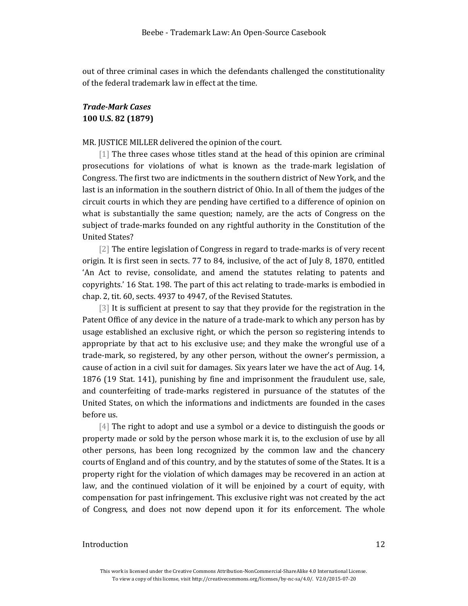out of three criminal cases in which the defendants challenged the constitutionality of the federal trademark law in effect at the time.

# <span id="page-11-0"></span>*Trade-Mark Cases* **100 U.S. 82 (1879)**

#### MR. JUSTICE MILLER delivered the opinion of the court.

[1] The three cases whose titles stand at the head of this opinion are criminal prosecutions for violations of what is known as the trade-mark legislation of Congress. The first two are indictments in the southern district of New York, and the last is an information in the southern district of Ohio. In all of them the judges of the circuit courts in which they are pending have certified to a difference of opinion on what is substantially the same question; namely, are the acts of Congress on the subject of trade-marks founded on any rightful authority in the Constitution of the United States?

[2] The entire legislation of Congress in regard to trade-marks is of very recent origin. It is first seen in sects. 77 to 84, inclusive, of the act of July 8, 1870, entitled 'An Act to revise, consolidate, and amend the statutes relating to patents and copyrights.' 16 Stat. 198. The part of this act relating to trade-marks is embodied in chap. 2, tit. 60, sects. 4937 to 4947, of the Revised Statutes.

[3] It is sufficient at present to say that they provide for the registration in the Patent Office of any device in the nature of a trade-mark to which any person has by usage established an exclusive right, or which the person so registering intends to appropriate by that act to his exclusive use; and they make the wrongful use of a trade-mark, so registered, by any other person, without the owner's permission, a cause of action in a civil suit for damages. Six years later we have the act of Aug. 14, 1876 (19 Stat. 141), punishing by fine and imprisonment the fraudulent use, sale, and counterfeiting of trade-marks registered in pursuance of the statutes of the United States, on which the informations and indictments are founded in the cases before us.

[4] The right to adopt and use a symbol or a device to distinguish the goods or property made or sold by the person whose mark it is, to the exclusion of use by all other persons, has been long recognized by the common law and the chancery courts of England and of this country, and by the statutes of some of the States. It is a property right for the violation of which damages may be recovered in an action at law, and the continued violation of it will be enjoined by a court of equity, with compensation for past infringement. This exclusive right was not created by the act of Congress, and does not now depend upon it for its enforcement. The whole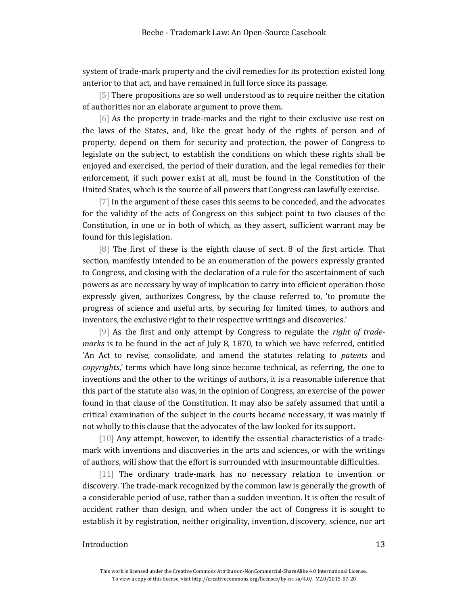system of trade-mark property and the civil remedies for its protection existed long anterior to that act, and have remained in full force since its passage.

[5] There propositions are so well understood as to require neither the citation of authorities nor an elaborate argument to prove them.

[6] As the property in trade-marks and the right to their exclusive use rest on the laws of the States, and, like the great body of the rights of person and of property, depend on them for security and protection, the power of Congress to legislate on the subject, to establish the conditions on which these rights shall be enjoyed and exercised, the period of their duration, and the legal remedies for their enforcement, if such power exist at all, must be found in the Constitution of the United States, which is the source of all powers that Congress can lawfully exercise.

[7] In the argument of these cases this seems to be conceded, and the advocates for the validity of the acts of Congress on this subject point to two clauses of the Constitution, in one or in both of which, as they assert, sufficient warrant may be found for this legislation.

[8] The first of these is the eighth clause of sect. 8 of the first article. That section, manifestly intended to be an enumeration of the powers expressly granted to Congress, and closing with the declaration of a rule for the ascertainment of such powers as are necessary by way of implication to carry into efficient operation those expressly given, authorizes Congress, by the clause referred to, 'to promote the progress of science and useful arts, by securing for limited times, to authors and inventors, the exclusive right to their respective writings and discoveries.'

[9] As the first and only attempt by Congress to regulate the *right of trademarks* is to be found in the act of July 8, 1870, to which we have referred, entitled 'An Act to revise, consolidate, and amend the statutes relating to *patents* and *copyrights*,' terms which have long since become technical, as referring, the one to inventions and the other to the writings of authors, it is a reasonable inference that this part of the statute also was, in the opinion of Congress, an exercise of the power found in that clause of the Constitution. It may also be safely assumed that until a critical examination of the subject in the courts became necessary, it was mainly if not wholly to this clause that the advocates of the law looked for its support.

[10] Any attempt, however, to identify the essential characteristics of a trademark with inventions and discoveries in the arts and sciences, or with the writings of authors, will show that the effort is surrounded with insurmountable difficulties.

[11] The ordinary trade-mark has no necessary relation to invention or discovery. The trade-mark recognized by the common law is generally the growth of a considerable period of use, rather than a sudden invention. It is often the result of accident rather than design, and when under the act of Congress it is sought to establish it by registration, neither originality, invention, discovery, science, nor art

# Introduction the contract of the contract of the contract of the contract of the contract of the contract of the contract of the contract of the contract of the contract of the contract of the contract of the contract of t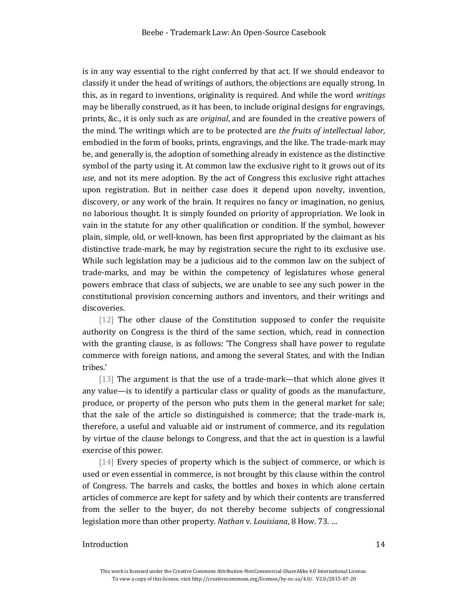is in any way essential to the right conferred by that act. If we should endeavor to classify it under the head of writings of authors, the objections are equally strong. In this, as in regard to inventions, originality is required. And while the word *writings* may be liberally construed, as it has been, to include original designs for engravings, prints, &c., it is only such as are *original*, and are founded in the creative powers of the mind. The writings which are to be protected are *the fruits of intellectual labor*, embodied in the form of books, prints, engravings, and the like. The trade-mark may be, and generally is, the adoption of something already in existence as the distinctive symbol of the party using it. At common law the exclusive right to it grows out of its *use*, and not its mere adoption. By the act of Congress this exclusive right attaches upon registration. But in neither case does it depend upon novelty, invention, discovery, or any work of the brain. It requires no fancy or imagination, no genius, no laborious thought. It is simply founded on priority of appropriation. We look in vain in the statute for any other qualification or condition. If the symbol, however plain, simple, old, or well-known, has been first appropriated by the claimant as his distinctive trade-mark, he may by registration secure the right to its exclusive use. While such legislation may be a judicious aid to the common law on the subject of trade-marks, and may be within the competency of legislatures whose general powers embrace that class of subjects, we are unable to see any such power in the constitutional provision concerning authors and inventors, and their writings and discoveries.

[12] The other clause of the Constitution supposed to confer the requisite authority on Congress is the third of the same section, which, read in connection with the granting clause, is as follows: 'The Congress shall have power to regulate commerce with foreign nations, and among the several States, and with the Indian tribes.'

[13] The argument is that the use of a trade-mark—that which alone gives it any value—is to identify a particular class or quality of goods as the manufacture, produce, or property of the person who puts them in the general market for sale; that the sale of the article so distinguished is commerce; that the trade-mark is, therefore, a useful and valuable aid or instrument of commerce, and its regulation by virtue of the clause belongs to Congress, and that the act in question is a lawful exercise of this power.

[14] Every species of property which is the subject of commerce, or which is used or even essential in commerce, is not brought by this clause within the control of Congress. The barrels and casks, the bottles and boxes in which alone certain articles of commerce are kept for safety and by which their contents are transferred from the seller to the buyer, do not thereby become subjects of congressional legislation more than other property. *Nathan* v. *Louisiana*, 8 How. 73. …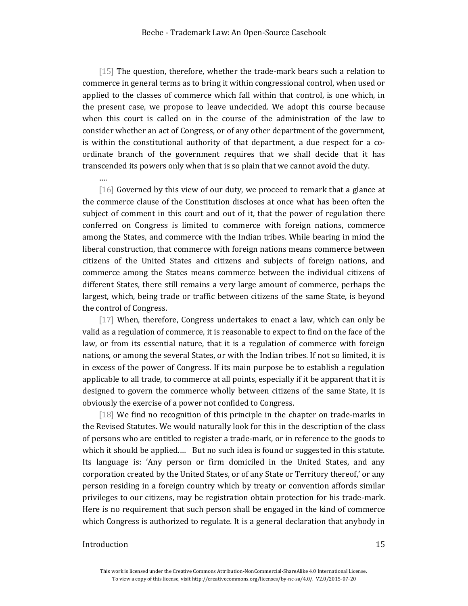[15] The question, therefore, whether the trade-mark bears such a relation to commerce in general terms as to bring it within congressional control, when used or applied to the classes of commerce which fall within that control, is one which, in the present case, we propose to leave undecided. We adopt this course because when this court is called on in the course of the administration of the law to consider whether an act of Congress, or of any other department of the government, is within the constitutional authority of that department, a due respect for a coordinate branch of the government requires that we shall decide that it has transcended its powers only when that is so plain that we cannot avoid the duty.

[16] Governed by this view of our duty, we proceed to remark that a glance at the commerce clause of the Constitution discloses at once what has been often the subject of comment in this court and out of it, that the power of regulation there conferred on Congress is limited to commerce with foreign nations, commerce among the States, and commerce with the Indian tribes. While bearing in mind the liberal construction, that commerce with foreign nations means commerce between citizens of the United States and citizens and subjects of foreign nations, and commerce among the States means commerce between the individual citizens of different States, there still remains a very large amount of commerce, perhaps the largest, which, being trade or traffic between citizens of the same State, is beyond the control of Congress.

[17] When, therefore, Congress undertakes to enact a law, which can only be valid as a regulation of commerce, it is reasonable to expect to find on the face of the law, or from its essential nature, that it is a regulation of commerce with foreign nations, or among the several States, or with the Indian tribes. If not so limited, it is in excess of the power of Congress. If its main purpose be to establish a regulation applicable to all trade, to commerce at all points, especially if it be apparent that it is designed to govern the commerce wholly between citizens of the same State, it is obviously the exercise of a power not confided to Congress.

[18] We find no recognition of this principle in the chapter on trade-marks in the Revised Statutes. We would naturally look for this in the description of the class of persons who are entitled to register a trade-mark, or in reference to the goods to which it should be applied.... But no such idea is found or suggested in this statute. Its language is: 'Any person or firm domiciled in the United States, and any corporation created by the United States, or of any State or Territory thereof,' or any person residing in a foreign country which by treaty or convention affords similar privileges to our citizens, may be registration obtain protection for his trade-mark. Here is no requirement that such person shall be engaged in the kind of commerce which Congress is authorized to regulate. It is a general declaration that anybody in

# Introduction and the contract of the contract of the contract of the contract of the contract of the contract of the contract of the contract of the contract of the contract of the contract of the contract of the contract

….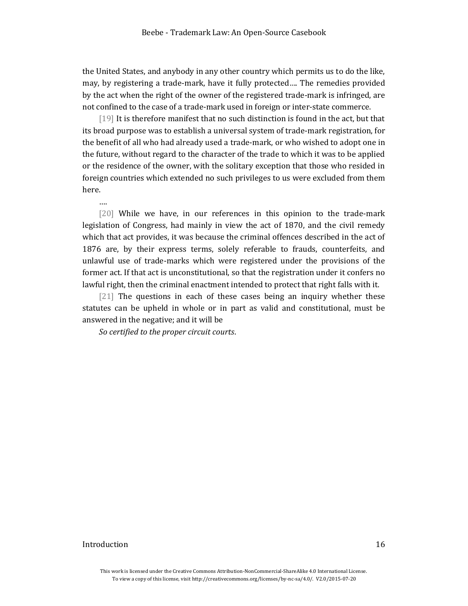the United States, and anybody in any other country which permits us to do the like, may, by registering a trade-mark, have it fully protected…. The remedies provided by the act when the right of the owner of the registered trade-mark is infringed, are not confined to the case of a trade-mark used in foreign or inter-state commerce.

[19] It is therefore manifest that no such distinction is found in the act, but that its broad purpose was to establish a universal system of trade-mark registration, for the benefit of all who had already used a trade-mark, or who wished to adopt one in the future, without regard to the character of the trade to which it was to be applied or the residence of the owner, with the solitary exception that those who resided in foreign countries which extended no such privileges to us were excluded from them here.

[20] While we have, in our references in this opinion to the trade-mark legislation of Congress, had mainly in view the act of 1870, and the civil remedy which that act provides, it was because the criminal offences described in the act of 1876 are, by their express terms, solely referable to frauds, counterfeits, and unlawful use of trade-marks which were registered under the provisions of the former act. If that act is unconstitutional, so that the registration under it confers no lawful right, then the criminal enactment intended to protect that right falls with it.

[21] The questions in each of these cases being an inquiry whether these statutes can be upheld in whole or in part as valid and constitutional, must be answered in the negative; and it will be

*So certified to the proper circuit courts*.

# Introduction and the set of the set of the set of the set of the set of the set of the set of the set of the set of the set of the set of the set of the set of the set of the set of the set of the set of the set of the set

….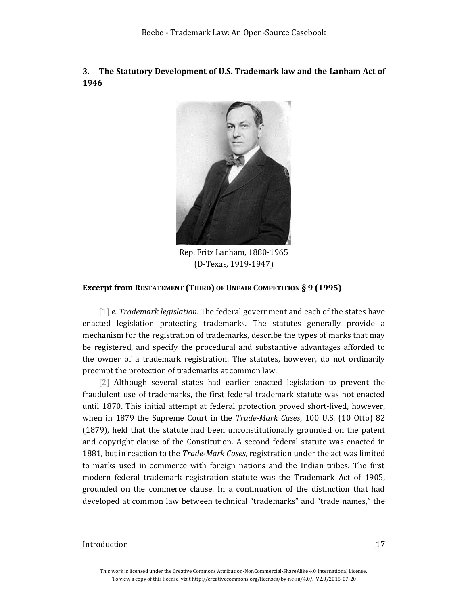<span id="page-16-0"></span>**3. The Statutory Development of U.S. Trademark law and the Lanham Act of 1946**



Rep. Fritz Lanham, 1880-1965 (D-Texas, 1919-1947)

# **Excerpt from RESTATEMENT (THIRD) OF UNFAIR COMPETITION § 9 (1995)**

[1] *e*. *Trademark legislation.* The federal government and each of the states have enacted legislation protecting trademarks. The statutes generally provide a mechanism for the registration of trademarks, describe the types of marks that may be registered, and specify the procedural and substantive advantages afforded to the owner of a trademark registration. The statutes, however, do not ordinarily preempt the protection of trademarks at common law.

[2] Although several states had earlier enacted legislation to prevent the fraudulent use of trademarks, the first federal trademark statute was not enacted until 1870. This initial attempt at federal protection proved short-lived, however, when in 1879 the Supreme Court in the *Trade-Mark Cases*, 100 U.S. (10 Otto) 82 (1879), held that the statute had been unconstitutionally grounded on the patent and copyright clause of the Constitution. A second federal statute was enacted in 1881, but in reaction to the *Trade-Mark Cases*, registration under the act was limited to marks used in commerce with foreign nations and the Indian tribes. The first modern federal trademark registration statute was the Trademark Act of 1905, grounded on the commerce clause. In a continuation of the distinction that had developed at common law between technical "trademarks" and "trade names," the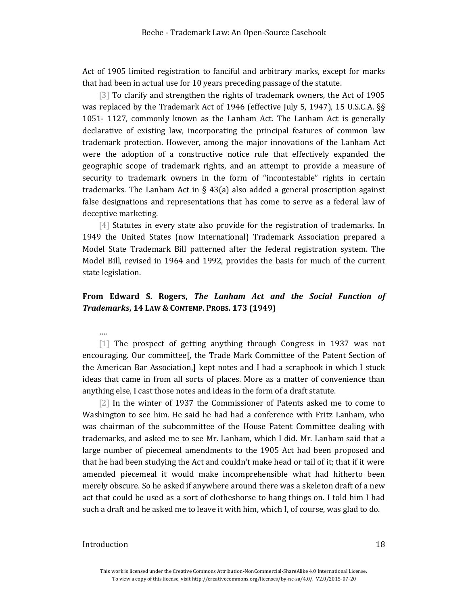Act of 1905 limited registration to fanciful and arbitrary marks, except for marks that had been in actual use for 10 years preceding passage of the statute.

[3] To clarify and strengthen the rights of trademark owners, the Act of 1905 was replaced by the Trademark Act of 1946 (effective July 5, 1947), 15 U.S.C.A. §§ 1051- 1127, commonly known as the Lanham Act. The Lanham Act is generally declarative of existing law, incorporating the principal features of common law trademark protection. However, among the major innovations of the Lanham Act were the adoption of a constructive notice rule that effectively expanded the geographic scope of trademark rights, and an attempt to provide a measure of security to trademark owners in the form of "incontestable" rights in certain trademarks. The Lanham Act in  $\S$  43(a) also added a general proscription against false designations and representations that has come to serve as a federal law of deceptive marketing.

[4] Statutes in every state also provide for the registration of trademarks. In 1949 the United States (now International) Trademark Association prepared a Model State Trademark Bill patterned after the federal registration system. The Model Bill, revised in 1964 and 1992, provides the basis for much of the current state legislation.

# **From Edward S. Rogers,** *The Lanham Act and the Social Function of Trademarks***, 14 LAW & CONTEMP. PROBS. 173 (1949)**

…. [1] The prospect of getting anything through Congress in 1937 was not encouraging. Our committee[, the Trade Mark Committee of the Patent Section of the American Bar Association,] kept notes and I had a scrapbook in which I stuck ideas that came in from all sorts of places. More as a matter of convenience than anything else, I cast those notes and ideas in the form of a draft statute.

[2] In the winter of 1937 the Commissioner of Patents asked me to come to Washington to see him. He said he had had a conference with Fritz Lanham, who was chairman of the subcommittee of the House Patent Committee dealing with trademarks, and asked me to see Mr. Lanham, which I did. Mr. Lanham said that a large number of piecemeal amendments to the 1905 Act had been proposed and that he had been studying the Act and couldn't make head or tail of it; that if it were amended piecemeal it would make incomprehensible what had hitherto been merely obscure. So he asked if anywhere around there was a skeleton draft of a new act that could be used as a sort of clotheshorse to hang things on. I told him I had such a draft and he asked me to leave it with him, which I, of course, was glad to do.

# Introduction and the contract of the contract of the contract of the contract of the contract of the contract of the contract of the contract of the contract of the contract of the contract of the contract of the contract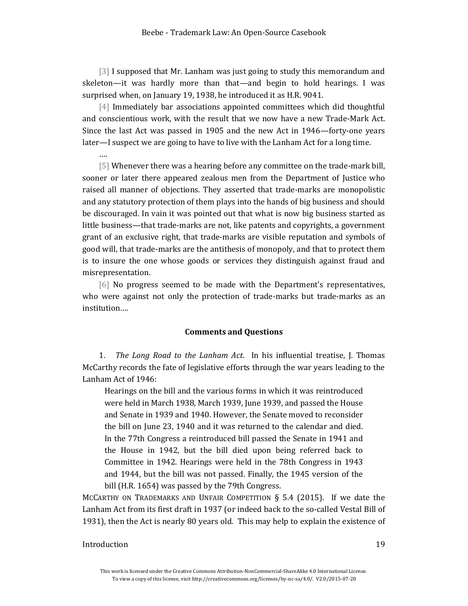[3] I supposed that Mr. Lanham was just going to study this memorandum and skeleton—it was hardly more than that—and begin to hold hearings. I was surprised when, on January 19, 1938, he introduced it as H.R. 9041.

[4] Immediately bar associations appointed committees which did thoughtful and conscientious work, with the result that we now have a new Trade-Mark Act. Since the last Act was passed in 1905 and the new Act in 1946—forty-one years later—I suspect we are going to have to live with the Lanham Act for a long time.

[5] Whenever there was a hearing before any committee on the trade-mark bill, sooner or later there appeared zealous men from the Department of Justice who raised all manner of objections. They asserted that trade-marks are monopolistic and any statutory protection of them plays into the hands of big business and should be discouraged. In vain it was pointed out that what is now big business started as little business—that trade-marks are not, like patents and copyrights, a government grant of an exclusive right, that trade-marks are visible reputation and symbols of good will, that trade-marks are the antithesis of monopoly, and that to protect them is to insure the one whose goods or services they distinguish against fraud and misrepresentation.

[6] No progress seemed to be made with the Department's representatives, who were against not only the protection of trade-marks but trade-marks as an institution….

#### **Comments and Questions**

1. *The Long Road to the Lanham Act*. In his influential treatise, J. Thomas McCarthy records the fate of legislative efforts through the war years leading to the Lanham Act of 1946:

Hearings on the bill and the various forms in which it was reintroduced were held in March 1938, March 1939, June 1939, and passed the House and Senate in 1939 and 1940. However, the Senate moved to reconsider the bill on June 23, 1940 and it was returned to the calendar and died. In the 77th Congress a reintroduced bill passed the Senate in 1941 and the House in 1942, but the bill died upon being referred back to Committee in 1942. Hearings were held in the 78th Congress in 1943 and 1944, but the bill was not passed. Finally, the 1945 version of the bill (H.R. 1654) was passed by the 79th Congress.

MCCARTHY ON TRADEMARKS AND UNFAIR COMPETITION  $\S$  5.4 (2015). If we date the Lanham Act from its first draft in 1937 (or indeed back to the so-called Vestal Bill of 1931), then the Act is nearly 80 years old. This may help to explain the existence of

# Introduction 19

….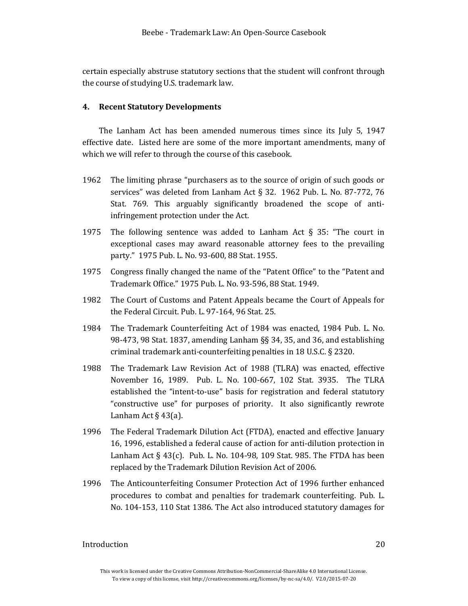certain especially abstruse statutory sections that the student will confront through the course of studying U.S. trademark law.

# <span id="page-19-0"></span>**4. Recent Statutory Developments**

The Lanham Act has been amended numerous times since its July 5, 1947 effective date. Listed here are some of the more important amendments, many of which we will refer to through the course of this casebook.

- 1962 The limiting phrase "purchasers as to the source of origin of such goods or services" was deleted from Lanham Act § 32. 1962 Pub. L. No. 87-772, 76 Stat. 769. This arguably significantly broadened the scope of antiinfringement protection under the Act.
- 1975 The following sentence was added to Lanham Act § 35: "The court in exceptional cases may award reasonable attorney fees to the prevailing party." 1975 Pub. L. No. 93-600, 88 Stat. 1955.
- 1975 Congress finally changed the name of the "Patent Office" to the "Patent and Trademark Office." 1975 Pub. L. No. 93-596, 88 Stat. 1949.
- 1982 The Court of Customs and Patent Appeals became the Court of Appeals for the Federal Circuit. Pub. L. 97-164, 96 Stat. 25.
- 1984 The Trademark Counterfeiting Act of 1984 was enacted, 1984 Pub. L. No. 98-473, 98 Stat. 1837, amending Lanham §§ 34, 35, and 36, and establishing criminal trademark anti-counterfeiting penalties in 18 U.S.C. § 2320.
- 1988 The Trademark Law Revision Act of 1988 (TLRA) was enacted, effective November 16, 1989. Pub. L. No. 100-667, 102 Stat. 3935. The TLRA established the "intent-to-use" basis for registration and federal statutory "constructive use" for purposes of priority. It also significantly rewrote Lanham Act  $\S$  43(a).
- 1996 The Federal Trademark Dilution Act (FTDA), enacted and effective January 16, 1996, established a federal cause of action for anti-dilution protection in Lanham Act § 43(c). Pub. L. No. 104-98, 109 Stat. 985. The FTDA has been replaced by the Trademark Dilution Revision Act of 2006.
- 1996 The Anticounterfeiting Consumer Protection Act of 1996 further enhanced procedures to combat and penalties for trademark counterfeiting. Pub. L. No. 104-153, 110 Stat 1386. The Act also introduced statutory damages for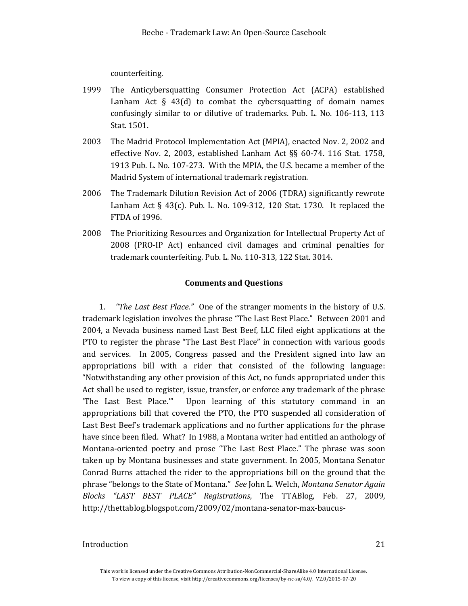counterfeiting.

- 1999 The Anticybersquatting Consumer Protection Act (ACPA) established Lanham Act  $\S$  43(d) to combat the cybersquatting of domain names confusingly similar to or dilutive of trademarks. Pub. L. No. 106-113, 113 Stat. 1501.
- 2003 The Madrid Protocol Implementation Act (MPIA), enacted Nov. 2, 2002 and effective Nov. 2, 2003, established Lanham Act §§ 60-74. 116 Stat. 1758, 1913 Pub. L. No. 107-273. With the MPIA, the U.S. became a member of the Madrid System of international trademark registration.
- 2006 The Trademark Dilution Revision Act of 2006 (TDRA) significantly rewrote Lanham Act § 43(c). Pub. L. No. 109-312, 120 Stat. 1730. It replaced the FTDA of 1996.
- 2008 The Prioritizing Resources and Organization for Intellectual Property Act of 2008 (PRO-IP Act) enhanced civil damages and criminal penalties for trademark counterfeiting. Pub. L. No. 110-313, 122 Stat. 3014.

# **Comments and Questions**

1. *"The Last Best Place."* One of the stranger moments in the history of U.S. trademark legislation involves the phrase "The Last Best Place." Between 2001 and 2004, a Nevada business named Last Best Beef, LLC filed eight applications at the PTO to register the phrase "The Last Best Place" in connection with various goods and services. In 2005, Congress passed and the President signed into law an appropriations bill with a rider that consisted of the following language: "Notwithstanding any other provision of this Act, no funds appropriated under this Act shall be used to register, issue, transfer, or enforce any trademark of the phrase 'The Last Best Place.'" Upon learning of this statutory command in an appropriations bill that covered the PTO, the PTO suspended all consideration of Last Best Beef's trademark applications and no further applications for the phrase have since been filed. What? In 1988, a Montana writer had entitled an anthology of Montana-oriented poetry and prose "The Last Best Place." The phrase was soon taken up by Montana businesses and state government. In 2005, Montana Senator Conrad Burns attached the rider to the appropriations bill on the ground that the phrase "belongs to the State of Montana." *See* John L. Welch, *Montana Senator Again Blocks "LAST BEST PLACE" Registrations*, The TTABlog, Feb. 27, 2009, http://thettablog.blogspot.com/2009/02/montana-senator-max-baucus-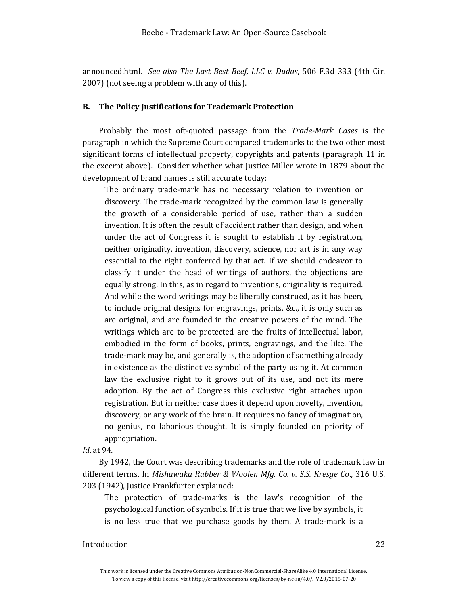announced.html. *See also The Last Best Beef, LLC v. Dudas*, 506 F.3d 333 (4th Cir. 2007) (not seeing a problem with any of this).

#### <span id="page-21-0"></span>**B. The Policy Justifications for Trademark Protection**

Probably the most oft-quoted passage from the *Trade-Mark Cases* is the paragraph in which the Supreme Court compared trademarks to the two other most significant forms of intellectual property, copyrights and patents (paragraph 11 in the excerpt above). Consider whether what Justice Miller wrote in 1879 about the development of brand names is still accurate today:

The ordinary trade-mark has no necessary relation to invention or discovery. The trade-mark recognized by the common law is generally the growth of a considerable period of use, rather than a sudden invention. It is often the result of accident rather than design, and when under the act of Congress it is sought to establish it by registration, neither originality, invention, discovery, science, nor art is in any way essential to the right conferred by that act. If we should endeavor to classify it under the head of writings of authors, the objections are equally strong. In this, as in regard to inventions, originality is required. And while the word writings may be liberally construed, as it has been, to include original designs for engravings, prints, &c., it is only such as are original, and are founded in the creative powers of the mind. The writings which are to be protected are the fruits of intellectual labor, embodied in the form of books, prints, engravings, and the like. The trade-mark may be, and generally is, the adoption of something already in existence as the distinctive symbol of the party using it. At common law the exclusive right to it grows out of its use, and not its mere adoption. By the act of Congress this exclusive right attaches upon registration. But in neither case does it depend upon novelty, invention, discovery, or any work of the brain. It requires no fancy of imagination, no genius, no laborious thought. It is simply founded on priority of appropriation.

*Id*. at 94.

By 1942, the Court was describing trademarks and the role of trademark law in different terms. In *Mishawaka Rubber & Woolen Mfg. Co. v. S.S. Kresge Co*., 316 U.S. 203 (1942), Justice Frankfurter explained:

The protection of trade-marks is the law's recognition of the psychological function of symbols. If it is true that we live by symbols, it is no less true that we purchase goods by them. A trade-mark is a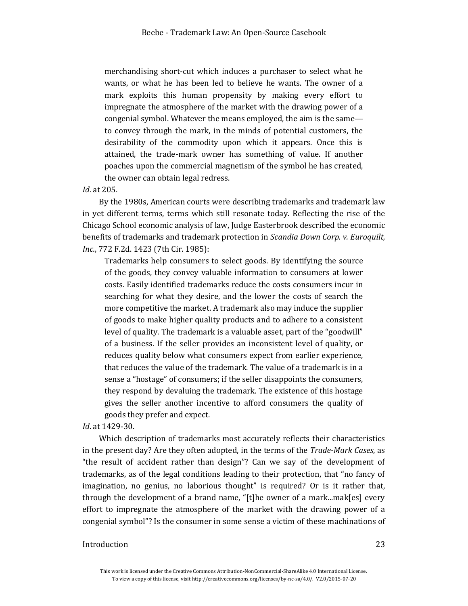merchandising short-cut which induces a purchaser to select what he wants, or what he has been led to believe he wants. The owner of a mark exploits this human propensity by making every effort to impregnate the atmosphere of the market with the drawing power of a congenial symbol. Whatever the means employed, the aim is the same to convey through the mark, in the minds of potential customers, the desirability of the commodity upon which it appears. Once this is attained, the trade-mark owner has something of value. If another poaches upon the commercial magnetism of the symbol he has created, the owner can obtain legal redress.

#### *Id*. at 205.

By the 1980s, American courts were describing trademarks and trademark law in yet different terms, terms which still resonate today. Reflecting the rise of the Chicago School economic analysis of law, Judge Easterbrook described the economic benefits of trademarks and trademark protection in *Scandia Down Corp. v. Euroquilt, Inc.*, 772 F.2d. 1423 (7th Cir. 1985):

Trademarks help consumers to select goods. By identifying the source of the goods, they convey valuable information to consumers at lower costs. Easily identified trademarks reduce the costs consumers incur in searching for what they desire, and the lower the costs of search the more competitive the market. A trademark also may induce the supplier of goods to make higher quality products and to adhere to a consistent level of quality. The trademark is a valuable asset, part of the "goodwill" of a business. If the seller provides an inconsistent level of quality, or reduces quality below what consumers expect from earlier experience, that reduces the value of the trademark. The value of a trademark is in a sense a "hostage" of consumers; if the seller disappoints the consumers, they respond by devaluing the trademark. The existence of this hostage gives the seller another incentive to afford consumers the quality of goods they prefer and expect.

#### *Id*. at 1429-30.

Which description of trademarks most accurately reflects their characteristics in the present day? Are they often adopted, in the terms of the *Trade-Mark Cases*, as "the result of accident rather than design"? Can we say of the development of trademarks, as of the legal conditions leading to their protection, that "no fancy of imagination, no genius, no laborious thought" is required? Or is it rather that, through the development of a brand name, "[t]he owner of a mark...mak[es] every effort to impregnate the atmosphere of the market with the drawing power of a congenial symbol"? Is the consumer in some sense a victim of these machinations of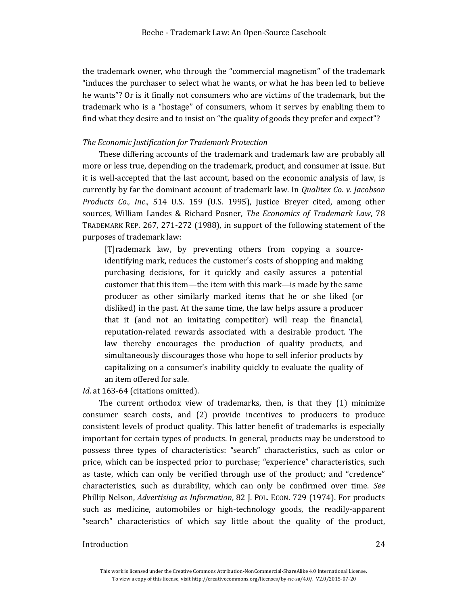the trademark owner, who through the "commercial magnetism" of the trademark "induces the purchaser to select what he wants, or what he has been led to believe he wants"? Or is it finally not consumers who are victims of the trademark, but the trademark who is a "hostage" of consumers, whom it serves by enabling them to find what they desire and to insist on "the quality of goods they prefer and expect"?

#### *The Economic Justification for Trademark Protection*

These differing accounts of the trademark and trademark law are probably all more or less true, depending on the trademark, product, and consumer at issue. But it is well-accepted that the last account, based on the economic analysis of law, is currently by far the dominant account of trademark law. In *Qualitex Co. v. Jacobson Products Co., Inc*., 514 U.S. 159 (U.S. 1995), Justice Breyer cited, among other sources, William Landes & Richard Posner, *The Economics of Trademark Law*, 78 TRADEMARK REP. 267, 271-272 (1988), in support of the following statement of the purposes of trademark law:

[T]rademark law, by preventing others from copying a sourceidentifying mark, reduces the customer's costs of shopping and making purchasing decisions, for it quickly and easily assures a potential customer that this item—the item with this mark—is made by the same producer as other similarly marked items that he or she liked (or disliked) in the past. At the same time, the law helps assure a producer that it (and not an imitating competitor) will reap the financial, reputation-related rewards associated with a desirable product. The law thereby encourages the production of quality products, and simultaneously discourages those who hope to sell inferior products by capitalizing on a consumer's inability quickly to evaluate the quality of an item offered for sale.

Id. at 163-64 (citations omitted).

The current orthodox view of trademarks, then, is that they (1) minimize consumer search costs, and (2) provide incentives to producers to produce consistent levels of product quality. This latter benefit of trademarks is especially important for certain types of products. In general, products may be understood to possess three types of characteristics: "search" characteristics, such as color or price, which can be inspected prior to purchase; "experience" characteristics, such as taste, which can only be verified through use of the product; and "credence" characteristics, such as durability, which can only be confirmed over time. *See* Phillip Nelson, *Advertising as Information*, 82 J. POL. ECON. 729 (1974). For products such as medicine, automobiles or high-technology goods, the readily-apparent "search" characteristics of which say little about the quality of the product,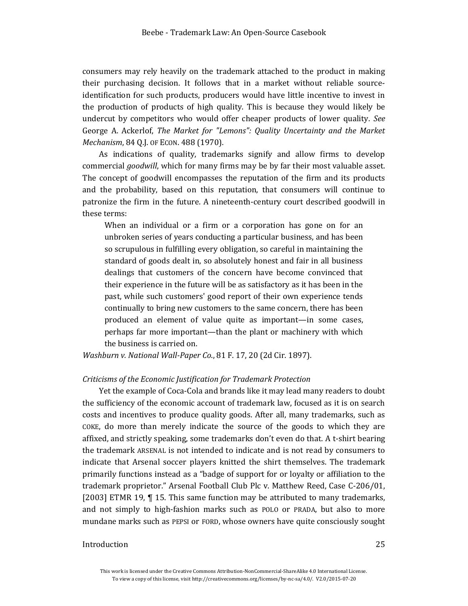consumers may rely heavily on the trademark attached to the product in making their purchasing decision. It follows that in a market without reliable sourceidentification for such products, producers would have little incentive to invest in the production of products of high quality. This is because they would likely be undercut by competitors who would offer cheaper products of lower quality. *See* George A. Ackerlof, *The Market for "Lemons": Quality Uncertainty and the Market Mechanism*, 84 Q.J. OF ECON. 488 (1970).

As indications of quality, trademarks signify and allow firms to develop commercial *goodwill*, which for many firms may be by far their most valuable asset. The concept of goodwill encompasses the reputation of the firm and its products and the probability, based on this reputation, that consumers will continue to patronize the firm in the future. A nineteenth-century court described goodwill in these terms:

When an individual or a firm or a corporation has gone on for an unbroken series of years conducting a particular business, and has been so scrupulous in fulfilling every obligation, so careful in maintaining the standard of goods dealt in, so absolutely honest and fair in all business dealings that customers of the concern have become convinced that their experience in the future will be as satisfactory as it has been in the past, while such customers' good report of their own experience tends continually to bring new customers to the same concern, there has been produced an element of value quite as important—in some cases, perhaps far more important—than the plant or machinery with which the business is carried on.

*Washburn v. National Wall-Paper Co*., 81 F. 17, 20 (2d Cir. 1897).

#### *Criticisms of the Economic Justification for Trademark Protection*

Yet the example of Coca-Cola and brands like it may lead many readers to doubt the sufficiency of the economic account of trademark law, focused as it is on search costs and incentives to produce quality goods. After all, many trademarks, such as COKE, do more than merely indicate the source of the goods to which they are affixed, and strictly speaking, some trademarks don't even do that. A t-shirt bearing the trademark ARSENAL is not intended to indicate and is not read by consumers to indicate that Arsenal soccer players knitted the shirt themselves. The trademark primarily functions instead as a "badge of support for or loyalty or affiliation to the trademark proprietor." Arsenal Football Club Plc v. Matthew Reed, Case C-206/01, [2003] ETMR 19, ¶ 15. This same function may be attributed to many trademarks, and not simply to high-fashion marks such as POLO or PRADA, but also to more mundane marks such as PEPSI or FORD, whose owners have quite consciously sought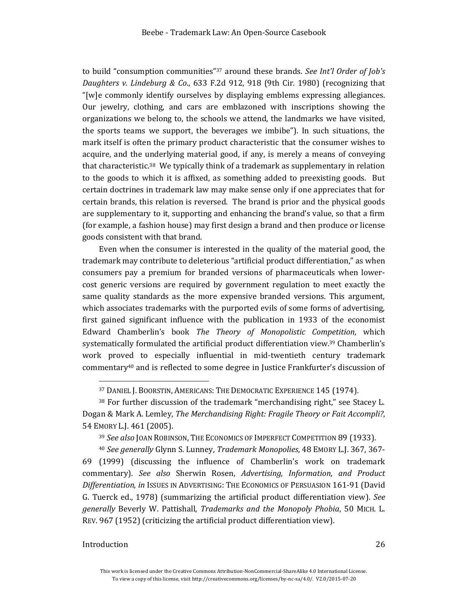to build "consumption communities"<sup>37</sup> around these brands. *See Int'l Order of Job's Daughters v. Lindeburg & Co*., 633 F.2d 912, 918 (9th Cir. 1980) (recognizing that "[w]e commonly identify ourselves by displaying emblems expressing allegiances. Our jewelry, clothing, and cars are emblazoned with inscriptions showing the organizations we belong to, the schools we attend, the landmarks we have visited, the sports teams we support, the beverages we imbibe"). In such situations, the mark itself is often the primary product characteristic that the consumer wishes to acquire, and the underlying material good, if any, is merely a means of conveying that characteristic.38 We typically think of a trademark as supplementary in relation to the goods to which it is affixed, as something added to preexisting goods. But certain doctrines in trademark law may make sense only if one appreciates that for certain brands, this relation is reversed. The brand is prior and the physical goods are supplementary to it, supporting and enhancing the brand's value, so that a firm (for example, a fashion house) may first design a brand and then produce or license goods consistent with that brand.

Even when the consumer is interested in the quality of the material good, the trademark may contribute to deleterious "artificial product differentiation," as when consumers pay a premium for branded versions of pharmaceuticals when lowercost generic versions are required by government regulation to meet exactly the same quality standards as the more expensive branded versions. This argument, which associates trademarks with the purported evils of some forms of advertising, first gained significant influence with the publication in 1933 of the economist Edward Chamberlin's book *The Theory of Monopolistic Competition*, which systematically formulated the artificial product differentiation view.<sup>39</sup> Chamberlin's work proved to especially influential in mid-twentieth century trademark commentary<sup>40</sup> and is reflected to some degree in Justice Frankfurter's discussion of

<sup>40</sup> *See generally* Glynn S. Lunney, *Trademark Monopolies*, 48 EMORY L.J. 367, 367- 69 (1999) (discussing the influence of Chamberlin's work on trademark commentary). *See also* Sherwin Rosen, *Advertising, Information, and Product Differentiation*, *in* ISSUES IN ADVERTISING: THE ECONOMICS OF PERSUASION 161-91 (David G. Tuerck ed., 1978) (summarizing the artificial product differentiation view). *See generally* Beverly W. Pattishall, *Trademarks and the Monopoly Phobia*, 50 MICH. L. REV. 967 (1952) (criticizing the artificial product differentiation view).

# Introduction 26

 $\overline{\phantom{a}}$ 

<sup>37</sup> DANIEL J. BOORSTIN, AMERICANS: THE DEMOCRATIC EXPERIENCE 145 (1974).

<sup>38</sup> For further discussion of the trademark "merchandising right," see Stacey L. Dogan & Mark A. Lemley, *The Merchandising Right: Fragile Theory or Fait Accompli?*, 54 EMORY L.J. 461 (2005).

<sup>39</sup> *See also* JOAN ROBINSON, THE ECONOMICS OF IMPERFECT COMPETITION 89 (1933).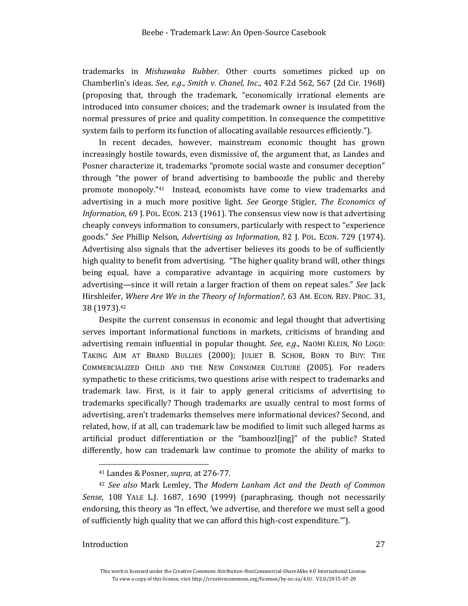trademarks in *Mishawaka Rubber*. Other courts sometimes picked up on Chamberlin's ideas. *See, e.g*., *Smith v. Chanel, Inc*., 402 F.2d 562, 567 (2d Cir. 1968) (proposing that, through the trademark, "economically irrational elements are introduced into consumer choices; and the trademark owner is insulated from the normal pressures of price and quality competition. In consequence the competitive system fails to perform its function of allocating available resources efficiently.").

In recent decades, however, mainstream economic thought has grown increasingly hostile towards, even dismissive of, the argument that, as Landes and Posner characterize it, trademarks "promote social waste and consumer deception" through "the power of brand advertising to bamboozle the public and thereby promote monopoly."41 Instead, economists have come to view trademarks and advertising in a much more positive light. *See* George Stigler, *The Economics of Information*, 69 J. POL. ECON. 213 (1961). The consensus view now is that advertising cheaply conveys information to consumers, particularly with respect to "experience goods." *See* Phillip Nelson, *Advertising as Information*, 82 J. POL. ECON. 729 (1974). Advertising also signals that the advertiser believes its goods to be of sufficiently high quality to benefit from advertising. "The higher quality brand will, other things being equal, have a comparative advantage in acquiring more customers by advertising—since it will retain a larger fraction of them on repeat sales." *See* Jack Hirshleifer, *Where Are We in the Theory of Information?*, 63 AM. ECON. REV. PROC. 31, 38 (1973). 42

Despite the current consensus in economic and legal thought that advertising serves important informational functions in markets, criticisms of branding and advertising remain influential in popular thought. *See, e.g*., NaOMI KLEIN, NO LOGO: TAKING AIM AT BRAND BULLIES (2000); JULIET B. SCHOR, BORN TO BUY: THE COMMERCIALIZED CHILD AND THE NEW CONSUMER CULTURE (2005). For readers sympathetic to these criticisms, two questions arise with respect to trademarks and trademark law. First, is it fair to apply general criticisms of advertising to trademarks specifically? Though trademarks are usually central to most forms of advertising, aren't trademarks themselves mere informational devices? Second, and related, how, if at all, can trademark law be modified to limit such alleged harms as artificial product differentiation or the "bamboozl[ing]" of the public? Stated differently, how can trademark law continue to promote the ability of marks to

#### Introduction 27

 $\overline{\phantom{a}}$ 

<sup>41</sup> Landes & Posner, *supra*, at 276-77.

<sup>42</sup> *See also* Mark Lemley, Th*e Modern Lanham Act and the Death of Common Sense*, 108 YALE L.J. 1687, 1690 (1999) (paraphrasing, though not necessarily endorsing, this theory as "In effect, 'we advertise, and therefore we must sell a good of sufficiently high quality that we can afford this high-cost expenditure.'").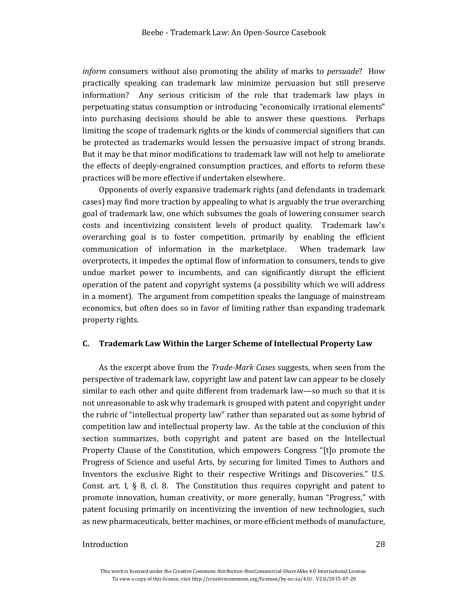*inform* consumers without also promoting the ability of marks to *persuade*? How practically speaking can trademark law minimize persuasion but still preserve information? Any serious criticism of the role that trademark law plays in perpetuating status consumption or introducing "economically irrational elements" into purchasing decisions should be able to answer these questions. Perhaps limiting the scope of trademark rights or the kinds of commercial signifiers that can be protected as trademarks would lessen the persuasive impact of strong brands. But it may be that minor modifications to trademark law will not help to ameliorate the effects of deeply-engrained consumption practices, and efforts to reform these practices will be more effective if undertaken elsewhere.

Opponents of overly expansive trademark rights (and defendants in trademark cases) may find more traction by appealing to what is arguably the true overarching goal of trademark law, one which subsumes the goals of lowering consumer search costs and incentivizing consistent levels of product quality. Trademark law's overarching goal is to foster competition, primarily by enabling the efficient communication of information in the marketplace. When trademark law overprotects, it impedes the optimal flow of information to consumers, tends to give undue market power to incumbents, and can significantly disrupt the efficient operation of the patent and copyright systems (a possibility which we will address in a moment). The argument from competition speaks the language of mainstream economics, but often does so in favor of limiting rather than expanding trademark property rights.

#### <span id="page-27-0"></span>**C. Trademark Law Within the Larger Scheme of Intellectual Property Law**

As the excerpt above from the *Trade-Mark Cases* suggests, when seen from the perspective of trademark law, copyright law and patent law can appear to be closely similar to each other and quite different from trademark law—so much so that it is not unreasonable to ask why trademark is grouped with patent and copyright under the rubric of "intellectual property law" rather than separated out as some hybrid of competition law and intellectual property law. As the table at the conclusion of this section summarizes, both copyright and patent are based on the Intellectual Property Clause of the Constitution, which empowers Congress "[t]o promote the Progress of Science and useful Arts, by securing for limited Times to Authors and Inventors the exclusive Right to their respective Writings and Discoveries." U.S. Const. art. I,  $\S$  8, cl. 8. The Constitution thus requires copyright and patent to promote innovation, human creativity, or more generally, human "Progress," with patent focusing primarily on incentivizing the invention of new technologies, such as new pharmaceuticals, better machines, or more efficient methods of manufacture,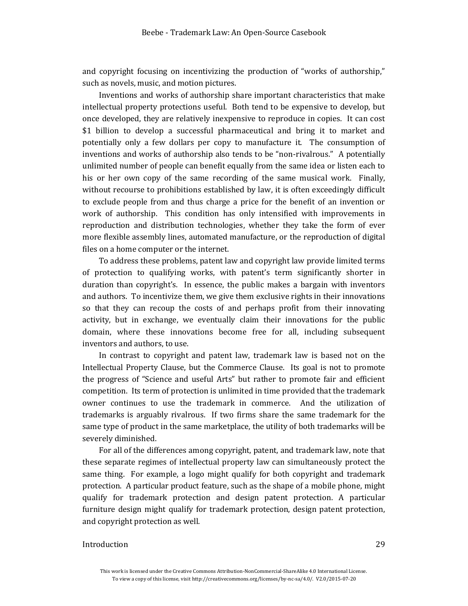and copyright focusing on incentivizing the production of "works of authorship," such as novels, music, and motion pictures.

Inventions and works of authorship share important characteristics that make intellectual property protections useful. Both tend to be expensive to develop, but once developed, they are relatively inexpensive to reproduce in copies. It can cost \$1 billion to develop a successful pharmaceutical and bring it to market and potentially only a few dollars per copy to manufacture it. The consumption of inventions and works of authorship also tends to be "non-rivalrous." A potentially unlimited number of people can benefit equally from the same idea or listen each to his or her own copy of the same recording of the same musical work. Finally, without recourse to prohibitions established by law, it is often exceedingly difficult to exclude people from and thus charge a price for the benefit of an invention or work of authorship. This condition has only intensified with improvements in reproduction and distribution technologies, whether they take the form of ever more flexible assembly lines, automated manufacture, or the reproduction of digital files on a home computer or the internet.

To address these problems, patent law and copyright law provide limited terms of protection to qualifying works, with patent's term significantly shorter in duration than copyright's. In essence, the public makes a bargain with inventors and authors. To incentivize them, we give them exclusive rights in their innovations so that they can recoup the costs of and perhaps profit from their innovating activity, but in exchange, we eventually claim their innovations for the public domain, where these innovations become free for all, including subsequent inventors and authors, to use.

In contrast to copyright and patent law, trademark law is based not on the Intellectual Property Clause, but the Commerce Clause. Its goal is not to promote the progress of "Science and useful Arts" but rather to promote fair and efficient competition. Its term of protection is unlimited in time provided that the trademark owner continues to use the trademark in commerce. And the utilization of trademarks is arguably rivalrous. If two firms share the same trademark for the same type of product in the same marketplace, the utility of both trademarks will be severely diminished.

For all of the differences among copyright, patent, and trademark law, note that these separate regimes of intellectual property law can simultaneously protect the same thing. For example, a logo might qualify for both copyright and trademark protection. A particular product feature, such as the shape of a mobile phone, might qualify for trademark protection and design patent protection. A particular furniture design might qualify for trademark protection, design patent protection, and copyright protection as well.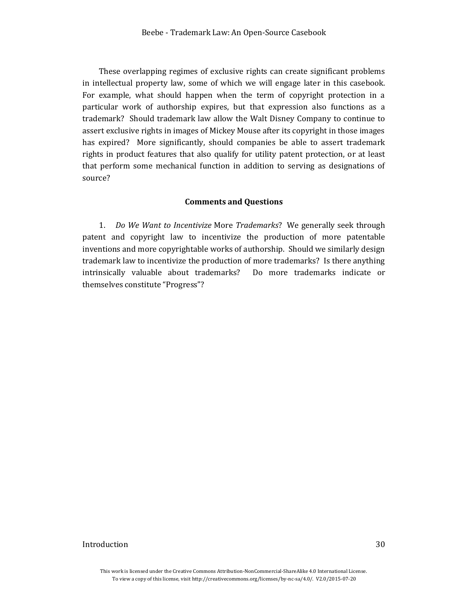These overlapping regimes of exclusive rights can create significant problems in intellectual property law, some of which we will engage later in this casebook. For example, what should happen when the term of copyright protection in a particular work of authorship expires, but that expression also functions as a trademark? Should trademark law allow the Walt Disney Company to continue to assert exclusive rights in images of Mickey Mouse after its copyright in those images has expired? More significantly, should companies be able to assert trademark rights in product features that also qualify for utility patent protection, or at least that perform some mechanical function in addition to serving as designations of source?

# **Comments and Questions**

1. *Do We Want to Incentivize* More *Trademarks*? We generally seek through patent and copyright law to incentivize the production of more patentable inventions and more copyrightable works of authorship. Should we similarly design trademark law to incentivize the production of more trademarks? Is there anything intrinsically valuable about trademarks? Do more trademarks indicate or themselves constitute "Progress"?